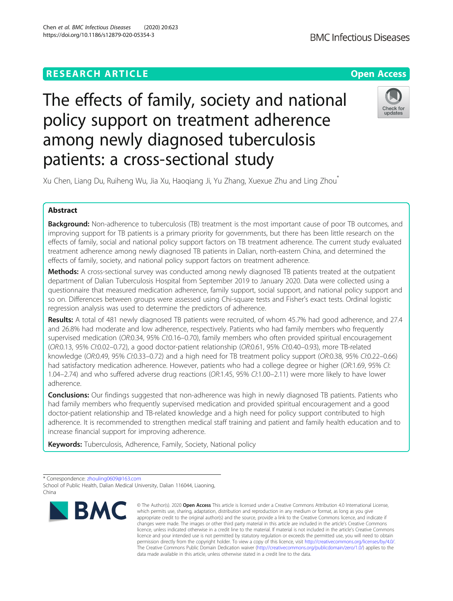# The effects of family, society and national policy support on treatment adherence among newly diagnosed tuberculosis patients: a cross-sectional study

Xu Chen, Liang Du, Ruiheng Wu, Jia Xu, Haoqiang Ji, Yu Zhang, Xuexue Zhu and Ling Zhou\*

## Abstract

**Background:** Non-adherence to tuberculosis (TB) treatment is the most important cause of poor TB outcomes, and improving support for TB patients is a primary priority for governments, but there has been little research on the effects of family, social and national policy support factors on TB treatment adherence. The current study evaluated treatment adherence among newly diagnosed TB patients in Dalian, north-eastern China, and determined the effects of family, society, and national policy support factors on treatment adherence.

**Methods:** A cross-sectional survey was conducted among newly diagnosed TB patients treated at the outpatient department of Dalian Tuberculosis Hospital from September 2019 to January 2020. Data were collected using a questionnaire that measured medication adherence, family support, social support, and national policy support and so on. Differences between groups were assessed using Chi-square tests and Fisher's exact tests. Ordinal logistic regression analysis was used to determine the predictors of adherence.

Results: A total of 481 newly diagnosed TB patients were recruited, of whom 45.7% had good adherence, and 27.4 and 26.8% had moderate and low adherence, respectively. Patients who had family members who frequently supervised medication (OR:0.34, 95% CI:0.16–0.70), family members who often provided spiritual encouragement (OR:0.13, 95% CI:0.02–0.72), a good doctor-patient relationship (OR:0.61, 95% CI:0.40–0.93), more TB-related knowledge (OR:0.49, 95% CI:0.33–0.72) and a high need for TB treatment policy support (OR:0.38, 95% CI:0.22–0.66) had satisfactory medication adherence. However, patients who had a college degree or higher (OR:1.69, 95% CI: 1.04–2.74) and who suffered adverse drug reactions (OR:1.45, 95% CI:1.00–2.11) were more likely to have lower adherence.

**Conclusions:** Our findings suggested that non-adherence was high in newly diagnosed TB patients. Patients who had family members who frequently supervised medication and provided spiritual encouragement and a good doctor-patient relationship and TB-related knowledge and a high need for policy support contributed to high adherence. It is recommended to strengthen medical staff training and patient and family health education and to increase financial support for improving adherence.

**Keywords:** Tuberculosis, Adherence, Family, Society, National policy





Check for undates



<sup>\*</sup> Correspondence: [zhouling0609@163.com](mailto:zhouling0609@163.com)

School of Public Health, Dalian Medical University, Dalian 116044, Liaoning, China

<sup>©</sup> The Author(s), 2020 **Open Access** This article is licensed under a Creative Commons Attribution 4.0 International License, which permits use, sharing, adaptation, distribution and reproduction in any medium or format, as long as you give appropriate credit to the original author(s) and the source, provide a link to the Creative Commons licence, and indicate if changes were made. The images or other third party material in this article are included in the article's Creative Commons licence, unless indicated otherwise in a credit line to the material. If material is not included in the article's Creative Commons licence and your intended use is not permitted by statutory regulation or exceeds the permitted use, you will need to obtain permission directly from the copyright holder. To view a copy of this licence, visit [http://creativecommons.org/licenses/by/4.0/.](http://creativecommons.org/licenses/by/4.0/) The Creative Commons Public Domain Dedication waiver [\(http://creativecommons.org/publicdomain/zero/1.0/](http://creativecommons.org/publicdomain/zero/1.0/)) applies to the data made available in this article, unless otherwise stated in a credit line to the data.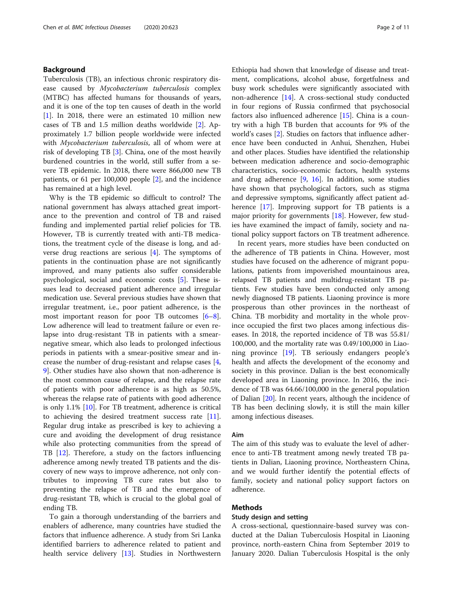## Background

Tuberculosis (TB), an infectious chronic respiratory disease caused by Mycobacterium tuberculosis complex (MTBC) has affected humans for thousands of years, and it is one of the top ten causes of death in the world [[1\]](#page-9-0). In 2018, there were an estimated 10 million new cases of TB and 1.5 million deaths worldwide [\[2](#page-9-0)]. Approximately 1.7 billion people worldwide were infected with Mycobacterium tuberculosis, all of whom were at risk of developing TB [\[3](#page-9-0)]. China, one of the most heavily burdened countries in the world, still suffer from a severe TB epidemic. In 2018, there were 866,000 new TB patients, or 61 per 100,000 people [[2\]](#page-9-0), and the incidence has remained at a high level.

Why is the TB epidemic so difficult to control? The national government has always attached great importance to the prevention and control of TB and raised funding and implemented partial relief policies for TB. However, TB is currently treated with anti-TB medications, the treatment cycle of the disease is long, and adverse drug reactions are serious [[4](#page-9-0)]. The symptoms of patients in the continuation phase are not significantly improved, and many patients also suffer considerable psychological, social and economic costs [[5\]](#page-9-0). These issues lead to decreased patient adherence and irregular medication use. Several previous studies have shown that irregular treatment, i.e., poor patient adherence, is the most important reason for poor TB outcomes [\[6](#page-9-0)–[8](#page-9-0)]. Low adherence will lead to treatment failure or even relapse into drug-resistant TB in patients with a smearnegative smear, which also leads to prolonged infectious periods in patients with a smear-positive smear and increase the number of drug-resistant and relapse cases [\[4](#page-9-0), [9\]](#page-9-0). Other studies have also shown that non-adherence is the most common cause of relapse, and the relapse rate of patients with poor adherence is as high as 50.5%, whereas the relapse rate of patients with good adherence is only 1.1% [\[10\]](#page-9-0). For TB treatment, adherence is critical to achieving the desired treatment success rate [\[11](#page-9-0)]. Regular drug intake as prescribed is key to achieving a cure and avoiding the development of drug resistance while also protecting communities from the spread of TB [[12\]](#page-9-0). Therefore, a study on the factors influencing adherence among newly treated TB patients and the discovery of new ways to improve adherence, not only contributes to improving TB cure rates but also to preventing the relapse of TB and the emergence of drug-resistant TB, which is crucial to the global goal of ending TB.

To gain a thorough understanding of the barriers and enablers of adherence, many countries have studied the factors that influence adherence. A study from Sri Lanka identified barriers to adherence related to patient and health service delivery [[13\]](#page-9-0). Studies in Northwestern Ethiopia had shown that knowledge of disease and treatment, complications, alcohol abuse, forgetfulness and busy work schedules were significantly associated with non-adherence [[14](#page-9-0)]. A cross-sectional study conducted in four regions of Russia confirmed that psychosocial factors also influenced adherence [[15\]](#page-9-0). China is a country with a high TB burden that accounts for 9% of the world's cases [[2\]](#page-9-0). Studies on factors that influence adherence have been conducted in Anhui, Shenzhen, Hubei and other places. Studies have identified the relationship between medication adherence and socio-demographic characteristics, socio-economic factors, health systems and drug adherence  $[9, 16]$  $[9, 16]$  $[9, 16]$  $[9, 16]$ . In addition, some studies have shown that psychological factors, such as stigma and depressive symptoms, significantly affect patient adherence [\[17](#page-9-0)]. Improving support for TB patients is a major priority for governments [[18\]](#page-9-0). However, few studies have examined the impact of family, society and national policy support factors on TB treatment adherence.

In recent years, more studies have been conducted on the adherence of TB patients in China. However, most studies have focused on the adherence of migrant populations, patients from impoverished mountainous area, relapsed TB patients and multidrug-resistant TB patients. Few studies have been conducted only among newly diagnosed TB patients. Liaoning province is more prosperous than other provinces in the northeast of China. TB morbidity and mortality in the whole province occupied the first two places among infectious diseases. In 2018, the reported incidence of TB was 55.81/ 100,000, and the mortality rate was 0.49/100,000 in Liaoning province [[19](#page-9-0)]. TB seriously endangers people's health and affects the development of the economy and society in this province. Dalian is the best economically developed area in Liaoning province. In 2016, the incidence of TB was 64.66/100,000 in the general population of Dalian [[20\]](#page-9-0). In recent years, although the incidence of TB has been declining slowly, it is still the main killer among infectious diseases.

#### Aim

The aim of this study was to evaluate the level of adherence to anti-TB treatment among newly treated TB patients in Dalian, Liaoning province, Northeastern China, and we would further identify the potential effects of family, society and national policy support factors on adherence.

## Methods

## Study design and setting

A cross-sectional, questionnaire-based survey was conducted at the Dalian Tuberculosis Hospital in Liaoning province, north-eastern China from September 2019 to January 2020. Dalian Tuberculosis Hospital is the only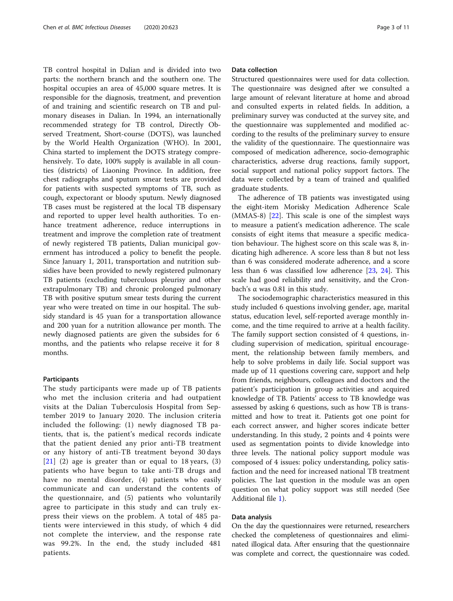TB control hospital in Dalian and is divided into two parts: the northern branch and the southern one. The hospital occupies an area of 45,000 square metres. It is responsible for the diagnosis, treatment, and prevention of and training and scientific research on TB and pulmonary diseases in Dalian. In 1994, an internationally recommended strategy for TB control, Directly Observed Treatment, Short-course (DOTS), was launched by the World Health Organization (WHO). In 2001, China started to implement the DOTS strategy comprehensively. To date, 100% supply is available in all counties (districts) of Liaoning Province. In addition, free chest radiographs and sputum smear tests are provided for patients with suspected symptoms of TB, such as cough, expectorant or bloody sputum. Newly diagnosed TB cases must be registered at the local TB dispensary and reported to upper level health authorities. To enhance treatment adherence, reduce interruptions in treatment and improve the completion rate of treatment of newly registered TB patients, Dalian municipal government has introduced a policy to benefit the people. Since January 1, 2011, transportation and nutrition subsidies have been provided to newly registered pulmonary TB patients (excluding tuberculous pleurisy and other extrapulmonary TB) and chronic prolonged pulmonary TB with positive sputum smear tests during the current year who were treated on time in our hospital. The subsidy standard is 45 yuan for a transportation allowance and 200 yuan for a nutrition allowance per month. The newly diagnosed patients are given the subsides for 6 months, and the patients who relapse receive it for 8 months.

#### **Participants**

The study participants were made up of TB patients who met the inclusion criteria and had outpatient visits at the Dalian Tuberculosis Hospital from September 2019 to January 2020. The inclusion criteria included the following: (1) newly diagnosed TB patients, that is, the patient's medical records indicate that the patient denied any prior anti-TB treatment or any history of anti-TB treatment beyond 30 days  $[21]$  $[21]$  $[21]$  (2) age is greater than or equal to 18 years, (3) patients who have begun to take anti-TB drugs and have no mental disorder, (4) patients who easily communicate and can understand the contents of the questionnaire, and (5) patients who voluntarily agree to participate in this study and can truly express their views on the problem. A total of 485 patients were interviewed in this study, of which 4 did not complete the interview, and the response rate was 99.2%. In the end, the study included 481 patients.

#### Data collection

Structured questionnaires were used for data collection. The questionnaire was designed after we consulted a large amount of relevant literature at home and abroad and consulted experts in related fields. In addition, a preliminary survey was conducted at the survey site, and the questionnaire was supplemented and modified according to the results of the preliminary survey to ensure the validity of the questionnaire. The questionnaire was composed of medication adherence, socio-demographic characteristics, adverse drug reactions, family support, social support and national policy support factors. The data were collected by a team of trained and qualified graduate students.

The adherence of TB patients was investigated using the eight-item Morisky Medication Adherence Scale  $(MMAS-8)$   $[22]$ . This scale is one of the simplest ways to measure a patient's medication adherence. The scale consists of eight items that measure a specific medication behaviour. The highest score on this scale was 8, indicating high adherence. A score less than 8 but not less than 6 was considered moderate adherence, and a score less than 6 was classified low adherence [\[23](#page-9-0), [24\]](#page-9-0). This scale had good reliability and sensitivity, and the Cronbach's α was 0.81 in this study.

The sociodemographic characteristics measured in this study included 6 questions involving gender, age, marital status, education level, self-reported average monthly income, and the time required to arrive at a health facility. The family support section consisted of 4 questions, including supervision of medication, spiritual encouragement, the relationship between family members, and help to solve problems in daily life. Social support was made up of 11 questions covering care, support and help from friends, neighbours, colleagues and doctors and the patient's participation in group activities and acquired knowledge of TB. Patients' access to TB knowledge was assessed by asking 6 questions, such as how TB is transmitted and how to treat it. Patients got one point for each correct answer, and higher scores indicate better understanding. In this study, 2 points and 4 points were used as segmentation points to divide knowledge into three levels. The national policy support module was composed of 4 issues: policy understanding, policy satisfaction and the need for increased national TB treatment policies. The last question in the module was an open question on what policy support was still needed (See Additional file [1](#page-8-0)).

## Data analysis

On the day the questionnaires were returned, researchers checked the completeness of questionnaires and eliminated illogical data. After ensuring that the questionnaire was complete and correct, the questionnaire was coded.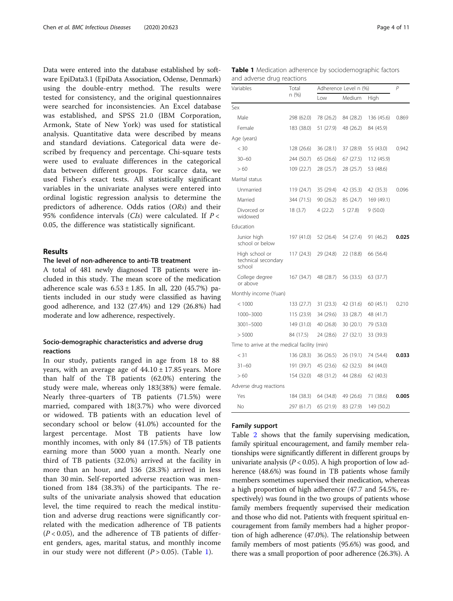Data were entered into the database established by software EpiData3.1 (EpiData Association, Odense, Denmark) using the double-entry method. The results were tested for consistency, and the original questionnaires were searched for inconsistencies. An Excel database was established, and SPSS 21.0 (IBM Corporation, Armonk, State of New York) was used for statistical analysis. Quantitative data were described by means and standard deviations. Categorical data were described by frequency and percentage. Chi-square tests were used to evaluate differences in the categorical data between different groups. For scarce data, we used Fisher's exact tests. All statistically significant variables in the univariate analyses were entered into ordinal logistic regression analysis to determine the predictors of adherence. Odds ratios (ORs) and their 95% confidence intervals  $(CIs)$  were calculated. If  $P \lt C$ 0.05, the difference was statistically significant.

## Results

## The level of non-adherence to anti-TB treatment

A total of 481 newly diagnosed TB patients were included in this study. The mean score of the medication adherence scale was  $6.53 \pm 1.85$ . In all, 220 (45.7%) patients included in our study were classified as having good adherence, and 132 (27.4%) and 129 (26.8%) had moderate and low adherence, respectively.

## Socio-demographic characteristics and adverse drug reactions

In our study, patients ranged in age from 18 to 88 years, with an average age of  $44.10 \pm 17.85$  years. More than half of the TB patients (62.0%) entering the study were male, whereas only 183(38%) were female. Nearly three-quarters of TB patients (71.5%) were married, compared with 18(3.7%) who were divorced or widowed. TB patients with an education level of secondary school or below (41.0%) accounted for the largest percentage. Most TB patients have low monthly incomes, with only 84 (17.5%) of TB patients earning more than 5000 yuan a month. Nearly one third of TB patients (32.0%) arrived at the facility in more than an hour, and 136 (28.3%) arrived in less than 30 min. Self-reported adverse reaction was mentioned from 184 (38.3%) of the participants. The results of the univariate analysis showed that education level, the time required to reach the medical institution and adverse drug reactions were significantly correlated with the medication adherence of TB patients  $(P < 0.05)$ , and the adherence of TB patients of different genders, ages, marital status, and monthly income in our study were not different  $(P > 0.05)$ . (Table 1).

| Variables                                       | Total      | Adherence Level n (%) | P         |            |       |  |
|-------------------------------------------------|------------|-----------------------|-----------|------------|-------|--|
|                                                 | n (%)      | Low                   | Medium    | High       |       |  |
| Sex                                             |            |                       |           |            |       |  |
| Male                                            | 298 (62.0) | 78 (26.2)             | 84 (28.2) | 136 (45.6) | 0.869 |  |
| Female                                          | 183 (38.0) | 51 (27.9)             | 48 (26.2) | 84 (45.9)  |       |  |
| Age (years)                                     |            |                       |           |            |       |  |
| $<$ 30                                          | 128 (26.6) | 36 (28.1)             | 37 (28.9) | 55 (43.0)  | 0.942 |  |
| $30 - 60$                                       | 244 (50.7) | 65 (26.6)             | 67 (27.5) | 112 (45.9) |       |  |
| >60                                             | 109 (22.7) | 28 (25.7)             | 28 (25.7) | 53 (48.6)  |       |  |
| Marital status                                  |            |                       |           |            |       |  |
| Unmarried                                       | 119 (24.7) | 35 (29.4)             | 42 (35.3) | 42 (35.3)  | 0.096 |  |
| Married                                         | 344 (71.5) | 90(26.2)              | 85 (24.7) | 169 (49.1) |       |  |
| Divorced or<br>widowed                          | 18(3.7)    | 4 (22.2)              | 5 (27.8)  | 9(50.0)    |       |  |
| Education                                       |            |                       |           |            |       |  |
| Junior high<br>school or below                  | 197 (41.0) | 52 (26.4)             | 54 (27.4) | 91 (46.2)  | 0.025 |  |
| High school or<br>technical secondary<br>school | 117 (24.3) | 29 (24.8)             | 22 (18.8) | 66 (56.4)  |       |  |
| College degree<br>or above                      | 167 (34.7) | 48 (28.7)             | 56 (33.5) | 63 (37.7)  |       |  |
| Monthly income (Yuan)                           |            |                       |           |            |       |  |
| < 1000                                          | 133 (27.7) | 31(23.3)              | 42 (31.6) | 60 (45.1)  | 0.210 |  |
| 1000-3000                                       | 115 (23.9) | 34 (29.6)             | 33 (28.7) | 48 (41.7)  |       |  |
| 3001-5000                                       | 149 (31.0) | 40 (26.8)             | 30 (20.1) | 79 (53.0)  |       |  |
| > 5000                                          | 84 (17.5)  | 24 (28.6)             | 27 (32.1) | 33 (39.3)  |       |  |
| Time to arrive at the medical facility (min)    |            |                       |           |            |       |  |
| $<$ 31                                          | 136 (28.3) | 36 (26.5)             | 26 (19.1) | 74 (54.4)  | 0.033 |  |
| $31 - 60$                                       | 191 (39.7) | 45 (23.6)             | 62 (32.5) | 84 (44.0)  |       |  |
| >60                                             | 154 (32.0) | 48 (31.2)             | 44 (28.6) | 62 (40.3)  |       |  |
| Adverse drug reactions                          |            |                       |           |            |       |  |
| Yes                                             | 184 (38.3) | 64 (34.8)             | 49 (26.6) | 71 (38.6)  | 0.005 |  |
| No                                              | 297 (61.7) | 65 (21.9)             | 83 (27.9) | 149 (50.2) |       |  |

## Family support

Table [2](#page-4-0) shows that the family supervising medication, family spiritual encouragement, and family member relationships were significantly different in different groups by univariate analysis ( $P < 0.05$ ). A high proportion of low adherence (48.6%) was found in TB patients whose family members sometimes supervised their medication, whereas a high proportion of high adherence (47.7 and 54.5%, respectively) was found in the two groups of patients whose family members frequently supervised their medication and those who did not. Patients with frequent spiritual encouragement from family members had a higher proportion of high adherence (47.0%). The relationship between family members of most patients (95.6%) was good, and there was a small proportion of poor adherence (26.3%). A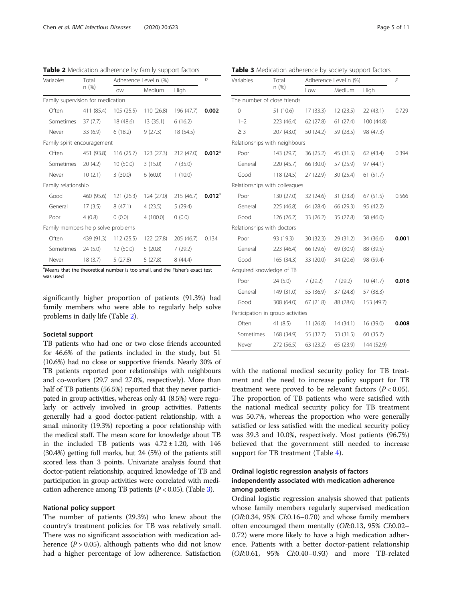<span id="page-4-0"></span>Table 2 Medication adherence by family support factors

Variab n (%) Low Medium High Famil Often 411 (85.4) 105 (25.5) 110 (26.8) 196 (47.7) **0.002** Sometimes 37 (7.7) 18 (48.6) 13 (35.1) 6 (16.2) Never 33 (6.9) 6 (18.2) 9 (27.3) 18 (54.5) Fami Often 451 (93.8) 116 (25.7) 123 (27.3) 212 (47.0) **0.012**<sup>a</sup> Sometimes 20 (4.2) 10 (50.0) 3 (15.0) 7 (35.0) Never 10 (2.1) 3 (30.0) 6 (60.0) 1 (10.0) Famil Good 460 (95.6) 121 (26.3) 124 (27.0) 215 (46.7) **0.012**<sup>a</sup> General 17 (3.5) 8 (47.1) 4 (23.5) 5 (29.4) Poor 4 (0.8) 0 (0.0) 4 (100.0) 0 (0.0) Fami Often 439 (91.3) 112 (25.5) 122 (27.8) 205 (46.7) 0.134 Sometimes 24 (5.0) 12 (50.0) 5 (20.8) 7 (29.2)

a<sub>Meal</sub> Means that the theoretical number is too small, and the Fisher's exact test was used

significantly higher proportion of patients (91.3%) had family members who were able to regularly help solve problems in daily life (Table 2).

#### Societal support

TB patients who had one or two close friends accounted for 46.6% of the patients included in the study, but 51 (10.6%) had no close or supportive friends. Nearly 30% of TB patients reported poor relationships with neighbours and co-workers (29.7 and 27.0%, respectively). More than half of TB patients (56.5%) reported that they never participated in group activities, whereas only 41 (8.5%) were regularly or actively involved in group activities. Patients generally had a good doctor-patient relationship, with a small minority (19.3%) reporting a poor relationship with the medical staff. The mean score for knowledge about TB in the included TB patients was  $4.72 \pm 1.20$ , with 146 (30.4%) getting full marks, but 24 (5%) of the patients still scored less than 3 points. Univariate analysis found that doctor-patient relationship, acquired knowledge of TB and participation in group activities were correlated with medication adherence among TB patients  $(P < 0.05)$ . (Table 3).

#### National policy support

The number of patients (29.3%) who knew about the country's treatment policies for TB was relatively small. There was no significant association with medication adherence  $(P > 0.05)$ , although patients who did not know had a higher percentage of low adherence. Satisfaction

n (%) Low Medium High umber of close friends 0 51 (10.6) 17 (33.3) 12 (23.5) 22 (43.1) 0.729 1–2 223 (46.4) 62 (27.8) 61 (27.4) 100 (44.8) ≥ 3 207 (43.0) 50 (24.2) 59 (28.5) 98 (47.3) onships with neighbours Poor 143 (29.7) 36 (25.2) 45 (31.5) 62 (43.4) 0.394 eral 220 (45.7) 66 (30.0) 57 (25.9) 97 (44.1) od 118 (24.5) 27 (22.9) 30 (25.4) 61 (51.7) onships with colleagues Poor 130 (27.0) 32 (24.6) 31 (23.8) 67 (51.5) 0.566 eral 225 (46.8) 64 (28.4) 66 (29.3) 95 (42.2) od 126 (26.2) 33 (26.2) 35 (27.8) 58 (46.0) onships with doctors Por and the 19.3 and 19.3) 30 (32.3) 29 (31.2) 34 (36.6) **0.001** eral 223 (46.4) 66 (29.6) 69 (30.9) 88 (39.5) od 165 (34.3) 33 (20.0) 34 (20.6) 98 (59.4) red knowledge of TB Poor 24 (5.0) 7 (29.2) 7 (29.2) 10 (41.7) 0.016 General 149 (31.0) 55 (36.9) 37 (24.8) 57 (38.3) Good 308 (64.0) 67 (21.8) 88 (28.6) 153 (49.7)

| Table 3 Medication adherence by society support factors |  |  |  |  |
|---------------------------------------------------------|--|--|--|--|
|---------------------------------------------------------|--|--|--|--|

Adherence Level n  $(%)$   $P$ 

with the national medical security policy for TB treatment and the need to increase policy support for TB treatment were proved to be relevant factors  $(P < 0.05)$ . The proportion of TB patients who were satisfied with the national medical security policy for TB treatment was 50.7%, whereas the proportion who were generally satisfied or less satisfied with the medical security policy was 39.3 and 10.0%, respectively. Most patients (96.7%) believed that the government still needed to increase support for TB treatment (Table [4](#page-5-0)).

Often 41 (8.5) 11 (26.8) 14 (34.1) 16 (39.0) **0.008** 

Sometimes 168 (34.9) 55 (32.7) 53 (31.5) 60 (35.7) Never 272 (56.5) 63 (23.2) 65 (23.9) 144 (52.9)

Participation in group activities

## Ordinal logistic regression analysis of factors independently associated with medication adherence among patients

Ordinal logistic regression analysis showed that patients whose family members regularly supervised medication (OR:0.34, 95% CI:0.16–0.70) and whose family members often encouraged them mentally (OR:0.13, 95% CI:0.02– 0.72) were more likely to have a high medication adherence. Patients with a better doctor-patient relationship (OR:0.61, 95% CI:0.40–0.93) and more TB-related

| riables<br>Total<br>n(%)                                                   | Adherence Level n (%) |           | P           | Variables  | Tota            |                        |         |
|----------------------------------------------------------------------------|-----------------------|-----------|-------------|------------|-----------------|------------------------|---------|
|                                                                            | Low                   | Medium    | <b>High</b> |            |                 | n (%                   |         |
| mily supervision for medication                                            |                       |           |             |            |                 | The number of close    |         |
| Often                                                                      | 411 (85.4)            | 105(25.5) | 110(26.8)   | 196 (47.7) | 0.002           | $\Omega$               | 51(1)   |
| Sometimes                                                                  | 37(7.7)               | 18 (48.6) | 13(35.1)    | 6(16.2)    |                 | $1 - 2$                | $223 -$ |
| Never                                                                      | 33(6.9)               | 6(18.2)   | 9(27.3)     | 18 (54.5)  |                 | $\geq$ 3               | 207     |
| mily spirit encouragement                                                  |                       |           |             |            |                 | Relationships with ne  |         |
| Often                                                                      | 451 (93.8)            | 116(25.7) | 123(27.3)   | 212 (47.0) | $0.012^{\circ}$ | Poor                   | 143     |
| Sometimes                                                                  | 20(4.2)               | 10(50.0)  | 3(15.0)     | 7(35.0)    |                 | General                | 220     |
| Never                                                                      | 10(2.1)               | 3(30.0)   | 6(60.0)     | 1(10.0)    |                 | Good                   | 118     |
| mily relationship                                                          |                       |           |             |            |                 | Relationships with col |         |
| Good                                                                       | 460 (95.6)            | 121(26.3) | 124 (27.0)  | 215(46.7)  | $0.012^{\circ}$ | Poor                   | 130     |
| General                                                                    | 17(3.5)               | 8(47.1)   | 4(23.5)     | 5(29.4)    |                 | General                | 225     |
| Poor                                                                       | 4(0.8)                | 0(0.0)    | 4(100.0)    | 0(0.0)     |                 | Good                   | 126     |
| mily members help solve problems                                           |                       |           |             |            |                 | Relationships with do  |         |
| Often                                                                      | 439 (91.3)            | 112(25.5) | 122 (27.8)  | 205 (46.7) | 0.134           | Poor                   | 93 (1   |
| Sometimes                                                                  | 24(5.0)               | 12(50.0)  | 5(20.8)     | 7(29.2)    |                 | General                | 223     |
| Never                                                                      | 18(3.7)               | 5(27.8)   | 5(27.8)     | 8(44.4)    |                 | Good                   | 165     |
| eans that the theoretical number is too small, and the Fisher's exact test |                       |           |             |            |                 | Acquired knowledge     |         |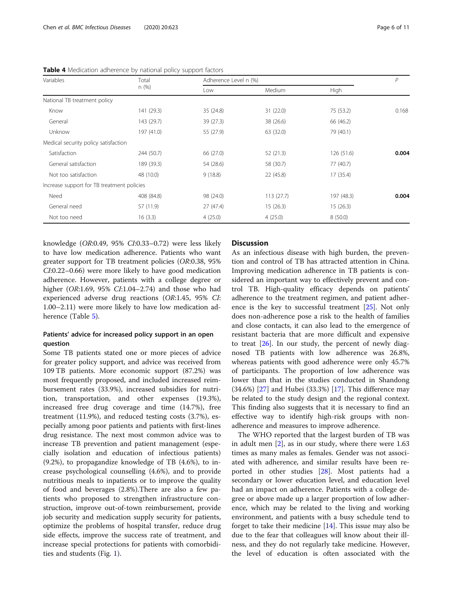| Variables                                  | Total      |           | Adherence Level n (%) |            |       |
|--------------------------------------------|------------|-----------|-----------------------|------------|-------|
|                                            | n(%)       | Low       | Medium                | High       |       |
| National TB treatment policy               |            |           |                       |            |       |
| Know                                       | 141 (29.3) | 35 (24.8) | 31(22.0)              | 75 (53.2)  | 0.168 |
| General                                    | 143 (29.7) | 39 (27.3) | 38 (26.6)             | 66 (46.2)  |       |
| Unknow                                     | 197 (41.0) | 55 (27.9) | 63 (32.0)             | 79 (40.1)  |       |
| Medical security policy satisfaction       |            |           |                       |            |       |
| Satisfaction                               | 244 (50.7) | 66 (27.0) | 52(21.3)              | 126(51.6)  | 0.004 |
| General satisfaction                       | 189 (39.3) | 54 (28.6) | 58 (30.7)             | 77 (40.7)  |       |
| Not too satisfaction                       | 48 (10.0)  | 9(18.8)   | 22 (45.8)             | 17 (35.4)  |       |
| Increase support for TB treatment policies |            |           |                       |            |       |
| Need                                       | 408 (84.8) | 98 (24.0) | 113(27.7)             | 197 (48.3) | 0.004 |
| General need                               | 57 (11.9)  | 27(47.4)  | 15(26.3)              | 15(26.3)   |       |
| Not too need                               | 16(3.3)    | 4(25.0)   | 4(25.0)               | 8(50.0)    |       |

<span id="page-5-0"></span>Table 4 Medication adherence by national policy support factors

knowledge (OR:0.49, 95% CI:0.33–0.72) were less likely to have low medication adherence. Patients who want greater support for TB treatment policies (OR:0.38, 95% CI:0.22–0.66) were more likely to have good medication adherence. However, patients with a college degree or higher (OR:1.69, 95% CI:1.04-2.74) and those who had experienced adverse drug reactions (OR:1.45, 95% CI: 1.00–2.11) were more likely to have low medication adherence (Table [5\)](#page-6-0).

## Patients' advice for increased policy support in an open question

Some TB patients stated one or more pieces of advice for greater policy support, and advice was received from 109 TB patients. More economic support (87.2%) was most frequently proposed, and included increased reimbursement rates (33.9%), increased subsidies for nutrition, transportation, and other expenses (19.3%), increased free drug coverage and time (14.7%), free treatment (11.9%), and reduced testing costs (3.7%), especially among poor patients and patients with first-lines drug resistance. The next most common advice was to increase TB prevention and patient management (especially isolation and education of infectious patients) (9.2%), to propagandize knowledge of TB (4.6%), to increase psychological counselling (4.6%), and to provide nutritious meals to inpatients or to improve the quality of food and beverages (2.8%).There are also a few patients who proposed to strengthen infrastructure construction, improve out-of-town reimbursement, provide job security and medication supply security for patients, optimize the problems of hospital transfer, reduce drug side effects, improve the success rate of treatment, and increase special protections for patients with comorbidities and students (Fig. [1](#page-7-0)).

## **Discussion**

As an infectious disease with high burden, the prevention and control of TB has attracted attention in China. Improving medication adherence in TB patients is considered an important way to effectively prevent and control TB. High-quality efficacy depends on patients' adherence to the treatment regimen, and patient adherence is the key to successful treatment [[25\]](#page-9-0). Not only does non-adherence pose a risk to the health of families and close contacts, it can also lead to the emergence of resistant bacteria that are more difficult and expensive to treat [\[26\]](#page-9-0). In our study, the percent of newly diagnosed TB patients with low adherence was 26.8%, whereas patients with good adherence were only 45.7% of participants. The proportion of low adherence was lower than that in the studies conducted in Shandong (34.6%) [[27\]](#page-9-0) and Hubei (33.3%) [\[17\]](#page-9-0). This difference may be related to the study design and the regional context. This finding also suggests that it is necessary to find an effective way to identify high-risk groups with nonadherence and measures to improve adherence.

The WHO reported that the largest burden of TB was in adult men  $[2]$  $[2]$ , as in our study, where there were 1.63 times as many males as females. Gender was not associated with adherence, and similar results have been reported in other studies [[28](#page-9-0)]. Most patients had a secondary or lower education level, and education level had an impact on adherence. Patients with a college degree or above made up a larger proportion of low adherence, which may be related to the living and working environment, and patients with a busy schedule tend to forget to take their medicine  $[14]$ . This issue may also be due to the fear that colleagues will know about their illness, and they do not regularly take medicine. However, the level of education is often associated with the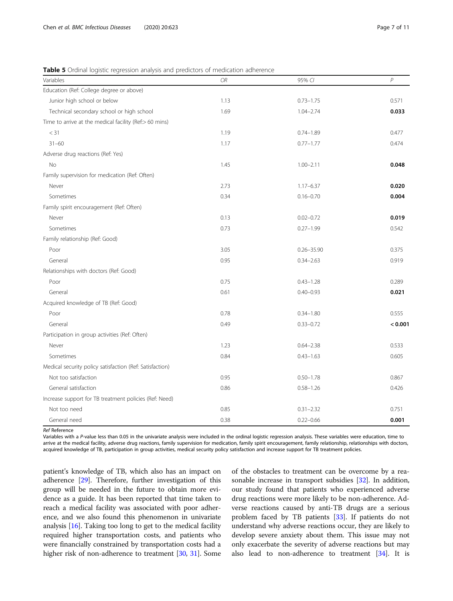| Variables                                                | OR   | 95% CI         | $\overline{P}$ |
|----------------------------------------------------------|------|----------------|----------------|
| Education (Ref: College degree or above)                 |      |                |                |
| Junior high school or below                              | 1.13 | $0.73 - 1.75$  | 0.571          |
| Technical secondary school or high school                | 1.69 | $1.04 - 2.74$  | 0.033          |
| Time to arrive at the medical facility (Ref:> 60 mins)   |      |                |                |
| $<$ 31                                                   | 1.19 | $0.74 - 1.89$  | 0.477          |
| $31 - 60$                                                | 1.17 | $0.77 - 1.77$  | 0.474          |
| Adverse drug reactions (Ref: Yes)                        |      |                |                |
| <b>No</b>                                                | 1.45 | $1.00 - 2.11$  | 0.048          |
| Family supervision for medication (Ref: Often)           |      |                |                |
| Never                                                    | 2.73 | $1.17 - 6.37$  | 0.020          |
| Sometimes                                                | 0.34 | $0.16 - 0.70$  | 0.004          |
| Family spirit encouragement (Ref: Often)                 |      |                |                |
| Never                                                    | 0.13 | $0.02 - 0.72$  | 0.019          |
| Sometimes                                                | 0.73 | $0.27 - 1.99$  | 0.542          |
| Family relationship (Ref: Good)                          |      |                |                |
| Poor                                                     | 3.05 | $0.26 - 35.90$ | 0.375          |
| General                                                  | 0.95 | $0.34 - 2.63$  | 0.919          |
| Relationships with doctors (Ref: Good)                   |      |                |                |
| Poor                                                     | 0.75 | $0.43 - 1.28$  | 0.289          |
| General                                                  | 0.61 | $0.40 - 0.93$  | 0.021          |
| Acquired knowledge of TB (Ref: Good)                     |      |                |                |
| Poor                                                     | 0.78 | $0.34 - 1.80$  | 0.555          |
| General                                                  | 0.49 | $0.33 - 0.72$  | < 0.001        |
| Participation in group activities (Ref: Often)           |      |                |                |
| Never                                                    | 1.23 | $0.64 - 2.38$  | 0.533          |
| Sometimes                                                | 0.84 | $0.43 - 1.63$  | 0.605          |
| Medical security policy satisfaction (Ref: Satisfaction) |      |                |                |
| Not too satisfaction                                     | 0.95 | $0.50 - 1.78$  | 0.867          |
| General satisfaction                                     | 0.86 | $0.58 - 1.26$  | 0.426          |
| Increase support for TB treatment policies (Ref: Need)   |      |                |                |
| Not too need                                             | 0.85 | $0.31 - 2.32$  | 0.751          |
| General need                                             | 0.38 | $0.22 - 0.66$  | 0.001          |

<span id="page-6-0"></span>Table 5 Ordinal logistic regression analysis and predictors of medication adherence

Ref Reference

Variables with a P-value less than 0.05 in the univariate analysis were included in the ordinal logistic regression analysis. These variables were education, time to arrive at the medical facility, adverse drug reactions, family supervision for medication, family spirit encouragement, family relationship, relationships with doctors, acquired knowledge of TB, participation in group activities, medical security policy satisfaction and increase support for TB treatment policies.

patient's knowledge of TB, which also has an impact on adherence [\[29\]](#page-9-0). Therefore, further investigation of this group will be needed in the future to obtain more evidence as a guide. It has been reported that time taken to reach a medical facility was associated with poor adherence, and we also found this phenomenon in univariate analysis [\[16\]](#page-9-0). Taking too long to get to the medical facility required higher transportation costs, and patients who were financially constrained by transportation costs had a higher risk of non-adherence to treatment [\[30,](#page-9-0) [31\]](#page-9-0). Some

of the obstacles to treatment can be overcome by a reasonable increase in transport subsidies [[32](#page-9-0)]. In addition, our study found that patients who experienced adverse drug reactions were more likely to be non-adherence. Adverse reactions caused by anti-TB drugs are a serious problem faced by TB patients [[33](#page-9-0)]. If patients do not understand why adverse reactions occur, they are likely to develop severe anxiety about them. This issue may not only exacerbate the severity of adverse reactions but may also lead to non-adherence to treatment [\[34\]](#page-9-0). It is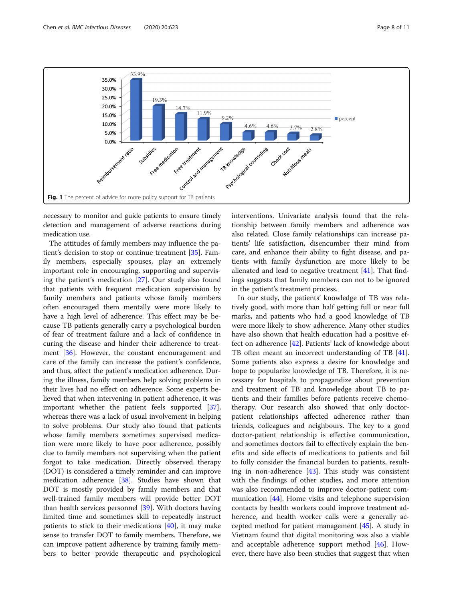<span id="page-7-0"></span>

necessary to monitor and guide patients to ensure timely detection and management of adverse reactions during medication use.

The attitudes of family members may influence the patient's decision to stop or continue treatment [[35\]](#page-9-0). Family members, especially spouses, play an extremely important role in encouraging, supporting and supervising the patient's medication [[27\]](#page-9-0). Our study also found that patients with frequent medication supervision by family members and patients whose family members often encouraged them mentally were more likely to have a high level of adherence. This effect may be because TB patients generally carry a psychological burden of fear of treatment failure and a lack of confidence in curing the disease and hinder their adherence to treatment [[36\]](#page-9-0). However, the constant encouragement and care of the family can increase the patient's confidence, and thus, affect the patient's medication adherence. During the illness, family members help solving problems in their lives had no effect on adherence. Some experts believed that when intervening in patient adherence, it was important whether the patient feels supported [\[37](#page-9-0)], whereas there was a lack of usual involvement in helping to solve problems. Our study also found that patients whose family members sometimes supervised medication were more likely to have poor adherence, possibly due to family members not supervising when the patient forgot to take medication. Directly observed therapy (DOT) is considered a timely reminder and can improve medication adherence [[38](#page-10-0)]. Studies have shown that DOT is mostly provided by family members and that well-trained family members will provide better DOT than health services personnel [[39](#page-10-0)]. With doctors having limited time and sometimes skill to repeatedly instruct patients to stick to their medications  $[40]$ , it may make sense to transfer DOT to family members. Therefore, we can improve patient adherence by training family members to better provide therapeutic and psychological interventions. Univariate analysis found that the relationship between family members and adherence was also related. Close family relationships can increase patients' life satisfaction, disencumber their mind from care, and enhance their ability to fight disease, and patients with family dysfunction are more likely to be alienated and lead to negative treatment [[41\]](#page-10-0). That findings suggests that family members can not to be ignored in the patient's treatment process.

In our study, the patients' knowledge of TB was relatively good, with more than half getting full or near full marks, and patients who had a good knowledge of TB were more likely to show adherence. Many other studies have also shown that health education had a positive effect on adherence [[42](#page-10-0)]. Patients' lack of knowledge about TB often meant an incorrect understanding of TB [\[41](#page-10-0)]. Some patients also express a desire for knowledge and hope to popularize knowledge of TB. Therefore, it is necessary for hospitals to propagandize about prevention and treatment of TB and knowledge about TB to patients and their families before patients receive chemotherapy. Our research also showed that only doctorpatient relationships affected adherence rather than friends, colleagues and neighbours. The key to a good doctor-patient relationship is effective communication, and sometimes doctors fail to effectively explain the benefits and side effects of medications to patients and fail to fully consider the financial burden to patients, resulting in non-adherence [[43\]](#page-10-0). This study was consistent with the findings of other studies, and more attention was also recommended to improve doctor-patient communication [\[44\]](#page-10-0). Home visits and telephone supervision contacts by health workers could improve treatment adherence, and health worker calls were a generally accepted method for patient management [\[45\]](#page-10-0). A study in Vietnam found that digital monitoring was also a viable and acceptable adherence support method [\[46](#page-10-0)]. However, there have also been studies that suggest that when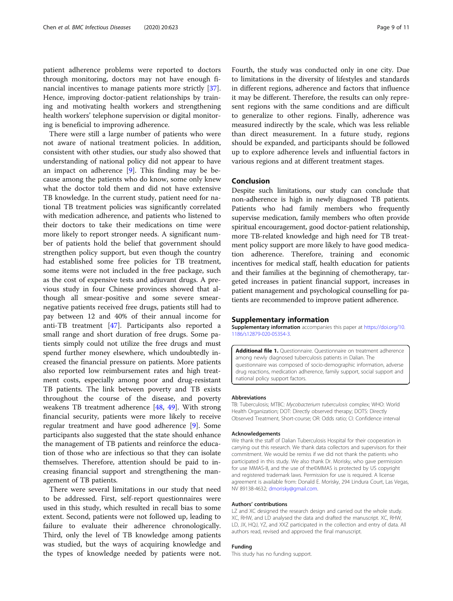<span id="page-8-0"></span>patient adherence problems were reported to doctors through monitoring, doctors may not have enough financial incentives to manage patients more strictly [\[37](#page-9-0)]. Hence, improving doctor-patient relationships by training and motivating health workers and strengthening health workers' telephone supervision or digital monitoring is beneficial to improving adherence.

There were still a large number of patients who were not aware of national treatment policies. In addition, consistent with other studies, our study also showed that understanding of national policy did not appear to have an impact on adherence [\[9](#page-9-0)]. This finding may be because among the patients who do know, some only knew what the doctor told them and did not have extensive TB knowledge. In the current study, patient need for national TB treatment policies was significantly correlated with medication adherence, and patients who listened to their doctors to take their medications on time were more likely to report stronger needs. A significant number of patients hold the belief that government should strengthen policy support, but even though the country had established some free policies for TB treatment, some items were not included in the free package, such as the cost of expensive tests and adjuvant drugs. A previous study in four Chinese provinces showed that although all smear-positive and some severe smearnegative patients received free drugs, patients still had to pay between 12 and 40% of their annual income for anti-TB treatment [[47\]](#page-10-0). Participants also reported a small range and short duration of free drugs. Some patients simply could not utilize the free drugs and must spend further money elsewhere, which undoubtedly increased the financial pressure on patients. More patients also reported low reimbursement rates and high treatment costs, especially among poor and drug-resistant TB patients. The link between poverty and TB exists throughout the course of the disease, and poverty weakens TB treatment adherence [\[48](#page-10-0), [49](#page-10-0)]. With strong financial security, patients were more likely to receive regular treatment and have good adherence [[9\]](#page-9-0). Some participants also suggested that the state should enhance the management of TB patients and reinforce the education of those who are infectious so that they can isolate themselves. Therefore, attention should be paid to increasing financial support and strengthening the management of TB patients.

There were several limitations in our study that need to be addressed. First, self-report questionnaires were used in this study, which resulted in recall bias to some extent. Second, patients were not followed up, leading to failure to evaluate their adherence chronologically. Third, only the level of TB knowledge among patients was studied, but the ways of acquiring knowledge and the types of knowledge needed by patients were not.

Fourth, the study was conducted only in one city. Due to limitations in the diversity of lifestyles and standards in different regions, adherence and factors that influence it may be different. Therefore, the results can only represent regions with the same conditions and are difficult to generalize to other regions. Finally, adherence was measured indirectly by the scale, which was less reliable than direct measurement. In a future study, regions should be expanded, and participants should be followed up to explore adherence levels and influential factors in various regions and at different treatment stages.

## Conclusion

Despite such limitations, our study can conclude that non-adherence is high in newly diagnosed TB patients. Patients who had family members who frequently supervise medication, family members who often provide spiritual encouragement, good doctor-patient relationship, more TB-related knowledge and high need for TB treatment policy support are more likely to have good medication adherence. Therefore, training and economic incentives for medical staff, health education for patients and their families at the beginning of chemotherapy, targeted increases in patient financial support, increases in patient management and psychological counselling for patients are recommended to improve patient adherence.

#### Supplementary information

Supplementary information accompanies this paper at [https://doi.org/10.](https://doi.org/10.1186/s12879-020-05354-3) [1186/s12879-020-05354-3](https://doi.org/10.1186/s12879-020-05354-3).

Additional file 1. Questionnaire. Questionnaire on treatment adherence among newly diagnosed tuberculosis patients in Dalian. The questionnaire was composed of socio-demographic information, adverse drug reactions, medication adherence, family support, social support and national policy support factors.

#### Abbreviations

TB: Tuberculosis; MTBC: Mycobacterium tuberculosis complex; WHO: World Health Organization; DOT: Directly observed therapy; DOTS: Directly Observed Treatment, Short-course; OR: Odds ratio; CI: Confidence interval

#### Acknowledgements

We thank the staff of Dalian Tuberculosis Hospital for their cooperation in carrying out this research. We thank data collectors and supervisors for their commitment. We would be remiss if we did not thank the patients who participated in this study. We also thank Dr. Morisky, who gave permission for use MMAS-8, and the use of the©MMAS is protected by US copyright and registered trademark laws. Permission for use is required. A license agreement is available from: Donald E. Morisky, 294 Lindura Court, Las Vegas, NV 89138-4632; [dmorisky@gmail.com](mailto:dmorisky@gmail.com).

#### Authors' contributions

LZ and XC designed the research design and carried out the whole study. XC, RHW, and LD analysed the data and drafted the manuscript. XC, RHW, LD, JX, HQJ, YZ, and XXZ participated in the collection and entry of data. All authors read, revised and approved the final manuscript.

## Funding

This study has no funding support.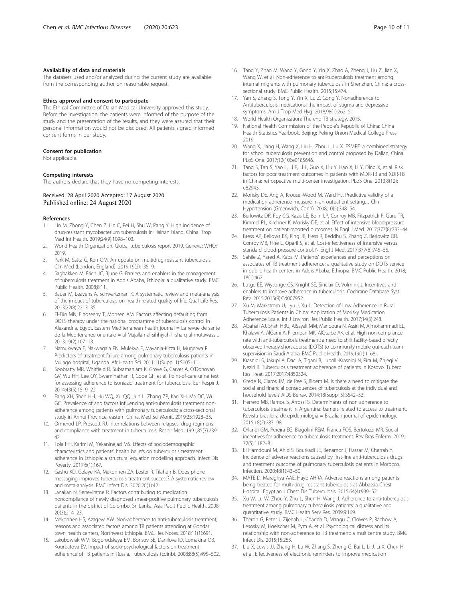#### <span id="page-9-0"></span>Availability of data and materials

The datasets used and/or analyzed during the current study are available from the corresponding author on reasonable request.

## Ethics approval and consent to participate

The Ethical Committee of Dalian Medical University approved this study. Before the investigation, the patients were informed of the purpose of the study and the presentation of the results, and they were assured that their personal information would not be disclosed. All patients signed informed consent forms in our study.

#### Consent for publication

Not applicable.

#### Competing interests

The authors declare that they have no competing interests.

## Received: 28 April 2020 Accepted: 17 August 2020 Published online: 24 August 2020

#### References

- 1. Lin M, Zhong Y, Chen Z, Lin C, Pei H, Shu W, Pang Y. High incidence of drug-resistant mycobacterium tuberculosis in Hainan Island, China. Trop Med Int Health. 2019;24(9):1098–103.
- 2. World Health Organization. Global tuberculosis report 2019. Geneva: WHO; 2019.
- 3. Park M, Satta G, Kon OM. An update on multidrug-resistant tuberculosis. Clin Med (London, England). 2019;19(2):135–9.
- 4. Sagbakken M, Frich JC, Bjune G. Barriers and enablers in the management of tuberculosis treatment in Addis Ababa, Ethiopia: a qualitative study. BMC Public Health. 2008;8:11.
- Bauer M, Leavens A, Schwartzman K. A systematic review and meta-analysis of the impact of tuberculosis on health-related quality of life. Qual Life Res. 2013;22(8):2213–35.
- 6. El-Din MN, Elhoseeny T, Mohsen AM. Factors affecting defaulting from DOTS therapy under the national programme of tuberculosis control in Alexandria, Egypt. Eastern Mediterranean health journal = La revue de sante de la Mediterranee orientale = al-Majallah al-sihhiyah li-sharq al-mutawassit. 2013;19(2):107–13.
- 7. Namukwaya E, Nakwagala FN, Mulekya F, Mayanja-Kizza H, Mugerwa R. Predictors of treatment failure among pulmonary tuberculosis patients in Mulago hospital, Uganda. Afr Health Sci. 2011;11(Suppl 1):S105–11.
- 8. Soobratty MR, Whitfield R, Subramaniam K, Grove G, Carver A, O'Donovan GV, Wu HH, Lee OY, Swaminathan R, Cope GF, et al. Point-of-care urine test for assessing adherence to isoniazid treatment for tuberculosis. Eur Respir J. 2014;43(5):1519–22.
- Fang XH, Shen HH, Hu WQ, Xu QQ, Jun L, Zhang ZP, Kan XH, Ma DC, Wu GC. Prevalence of and factors influencing anti-tuberculosis treatment nonadherence among patients with pulmonary tuberculosis: a cross-sectional study in Anhui Province, eastern China. Med Sci Monit. 2019;25:1928–35.
- 10. Ormerod LP, Prescott RJ. Inter-relations between relapses, drug regimens and compliance with treatment in tuberculosis. Respir Med. 1991;85(3):239– 42.
- 11. Tola HH, Karimi M, Yekaninejad MS. Effects of sociodemographic characteristics and patients' health beliefs on tuberculosis treatment adherence in Ethiopia: a structural equation modelling approach. Infect Dis Poverty. 2017;6(1):167.
- 12. Gashu KD, Gelaye KA, Mekonnen ZA, Lester R, Tilahun B. Does phone messaging improves tuberculosis treatment success? A systematic review and meta-analysis. BMC Infect Dis. 2020;20(1):42.
- 13. Janakan N, Seneviratne R. Factors contributing to medication noncompliance of newly diagnosed smear-positive pulmonary tuberculosis patients in the district of Colombo, Sri Lanka. Asia Pac J Public Health. 2008; 20(3):214–23.
- 14. Mekonnen HS, Azagew AW. Non-adherence to anti-tuberculosis treatment, reasons and associated factors among TB patients attending at Gondar town health centers, Northwest Ethiopia. BMC Res Notes. 2018;11(1):691.
- 15. Jakubowiak WM, Bogorodskaya EM, Borisov SE, Danilova ID, Lomakina OB, Kourbatova EV. Impact of socio-psychological factors on treatment adherence of TB patients in Russia. Tuberculosis (Edinb). 2008;88(5):495–502.
- 16. Tang Y, Zhao M, Wang Y, Gong Y, Yin X, Zhao A, Zheng J, Liu Z, Jian X, Wang W, et al. Non-adherence to anti-tuberculosis treatment among internal migrants with pulmonary tuberculosis in Shenzhen, China: a crosssectional study. BMC Public Health. 2015;15:474.
- 17. Yan S, Zhang S, Tong Y, Yin X, Lu Z, Gong Y. Nonadherence to Antituberculosis medications: the impact of stigma and depressive symptoms. Am J Trop Med Hyg. 2018;98(1):262–5.
- 18. World Health Organization: The end TB strategy. 2015.
- 19. National Health Commission of the People's Republic of China: China Health Statistics Yearbook. Beijing: Peking Union Medical College Press; 2019.
- 20. Wang X, Jiang H, Wang X, Liu H, Zhou L, Lu X. ESMPE: a combined strategy for school tuberculosis prevention and control proposed by Dalian, China. PLoS One. 2017;12(10):e0185646.
- 21. Tang S, Tan S, Yao L, Li F, Li L, Guo X, Liu Y, Hao X, Li Y, Ding X, et al. Risk factors for poor treatment outcomes in patients with MDR-TB and XDR-TB in China: retrospective multi-center investigation. PLoS One. 2013;8(12): e82943.
- 22. Morisky DE, Ang A, Krousel-Wood M, Ward HJ. Predictive validity of a medication adherence measure in an outpatient setting. J Clin Hypertension (Greenwich, Conn). 2008;10(5):348–54.
- 23. Berlowitz DR, Foy CG, Kazis LE, Bolin LP, Conroy MB, Fitzpatrick P, Gure TR, Kimmel PL, Kirchner K, Morisky DE, et al. Effect of intensive blood-pressure treatment on patient-reported outcomes. N Engl J Med. 2017;377(8):733–44.
- 24. Bress AP, Bellows BK, King JB, Hess R, Beddhu S, Zhang Z, Berlowitz DR, Conroy MB, Fine L, Oparil S, et al. Cost-effectiveness of intensive versus standard blood-pressure control. N Engl J Med. 2017;377(8):745–55.
- 25. Sahile Z, Yared A, Kaba M. Patients' experiences and perceptions on associates of TB treatment adherence: a qualitative study on DOTS service in public health centers in Addis Ababa, Ethiopia. BMC Public Health. 2018; 18(1):462.
- 26. Lutge EE, Wiysonge CS, Knight SE, Sinclair D, Volmink J. Incentives and enablers to improve adherence in tuberculosis. Cochrane Database Syst Rev. 2015;2015(9):Cd007952.
- 27. Xu M, Markstrom U, Lyu J, Xu L. Detection of Low Adherence in Rural Tuberculosis Patients in China: Application of Morisky Medication Adherence Scale. Int J Environ Res Public Health. 2017;14(3):248.
- 28. AlSahafi AJ, Shah HBU, AlSayali MM, Mandoura N, Assiri M, Almohammadi EL, Khalawi A, AlGarni A, Filemban MK, AlOtaibe AK, et al. High non-compliance rate with anti-tuberculosis treatment: a need to shift facility-based directly observed therapy short course (DOTS) to community mobile outreach team supervision in Saudi Arabia. BMC Public Health. 2019;19(1):1168.
- 29. Krasniqi S, Jakupi A, Daci A, Tigani B, Jupolli-Krasniqi N, Pira M, Zhjeqi V, Neziri B. Tuberculosis treatment adherence of patients in Kosovo. Tuberc Res Treat. 2017;2017:4850324.
- 30. Grede N, Claros JM, de Pee S, Bloem M. Is there a need to mitigate the social and financial consequences of tuberculosis at the individual and household level? AIDS Behav. 2014;18(Suppl 5):S542–53.
- 31. Herrero MB, Ramos S, Arrossi S. Determinants of non adherence to tuberculosis treatment in Argentina: barriers related to access to treatment. Revista brasileira de epidemiologia = Brazilian journal of epidemiology. 2015;18(2):287–98.
- 32. Orlandi GM, Pereira EG, Biagolini REM, Franca FOS, Bertolozzi MR. Social incentives for adherence to tuberculosis treatment. Rev Bras Enferm. 2019; 72(5):1182–8.
- 33. El Hamdouni M, Ahid S, Bourkadi JE, Benamor J, Hassar M, Cherrah Y. Incidence of adverse reactions caused by first-line anti-tuberculosis drugs and treatment outcome of pulmonary tuberculosis patients in Morocco. Infection. 2020;48(1):43–50.
- 34. MATE D, Maraghya AAE, Hayb AHRA. Adverse reactions among patients being treated for multi-drug resistant tuberculosis at Abbassia Chest Hospital. Egyptian J Chest Dis Tuberculosis. 2015;64(4):939–52.
- 35. Xu W, Lu W, Zhou Y, Zhu L, Shen H, Wang J. Adherence to anti-tuberculosis treatment among pulmonary tuberculosis patients: a qualitative and quantitative study. BMC Health Serv Res. 2009;9:169.
- 36. Theron G, Peter J, Zijenah L, Chanda D, Mangu C, Clowes P, Rachow A, Lesosky M, Hoelscher M, Pym A, et al. Psychological distress and its relationship with non-adherence to TB treatment: a multicentre study. BMC Infect Dis. 2015;15:253.
- 37. Liu X, Lewis JJ, Zhang H, Lu W, Zhang S, Zheng G, Bai L, Li J, Li X, Chen H, et al. Effectiveness of electronic reminders to improve medication